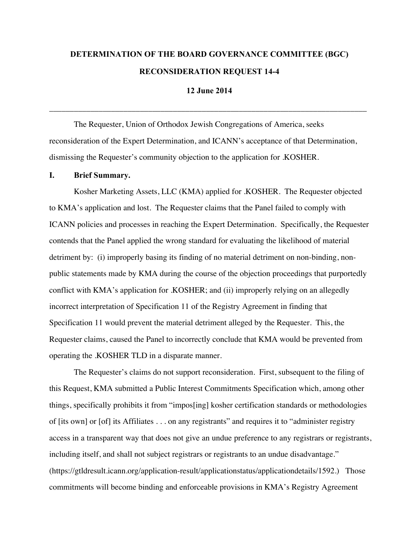# **DETERMINATION OF THE BOARD GOVERNANCE COMMITTEE (BGC) RECONSIDERATION REQUEST 14-4**

**12 June 2014**

\_\_\_\_\_\_\_\_\_\_\_\_\_\_\_\_\_\_\_\_\_\_\_\_\_\_\_\_\_\_\_\_\_\_\_\_\_\_\_\_\_\_\_\_\_\_\_\_\_\_\_\_\_\_\_\_\_\_\_\_\_\_\_\_\_\_\_\_\_\_\_\_\_\_\_\_\_

The Requester, Union of Orthodox Jewish Congregations of America, seeks reconsideration of the Expert Determination, and ICANN's acceptance of that Determination, dismissing the Requester's community objection to the application for .KOSHER.

#### **I. Brief Summary.**

Kosher Marketing Assets, LLC (KMA) applied for .KOSHER. The Requester objected to KMA's application and lost. The Requester claims that the Panel failed to comply with ICANN policies and processes in reaching the Expert Determination. Specifically, the Requester contends that the Panel applied the wrong standard for evaluating the likelihood of material detriment by: (i) improperly basing its finding of no material detriment on non-binding, nonpublic statements made by KMA during the course of the objection proceedings that purportedly conflict with KMA's application for .KOSHER; and (ii) improperly relying on an allegedly incorrect interpretation of Specification 11 of the Registry Agreement in finding that Specification 11 would prevent the material detriment alleged by the Requester. This, the Requester claims, caused the Panel to incorrectly conclude that KMA would be prevented from operating the .KOSHER TLD in a disparate manner.

The Requester's claims do not support reconsideration. First, subsequent to the filing of this Request, KMA submitted a Public Interest Commitments Specification which, among other things, specifically prohibits it from "impos[ing] kosher certification standards or methodologies of [its own] or [of] its Affiliates . . . on any registrants" and requires it to "administer registry access in a transparent way that does not give an undue preference to any registrars or registrants, including itself, and shall not subject registrars or registrants to an undue disadvantage." (https://gtldresult.icann.org/application-result/applicationstatus/applicationdetails/1592.) Those commitments will become binding and enforceable provisions in KMA's Registry Agreement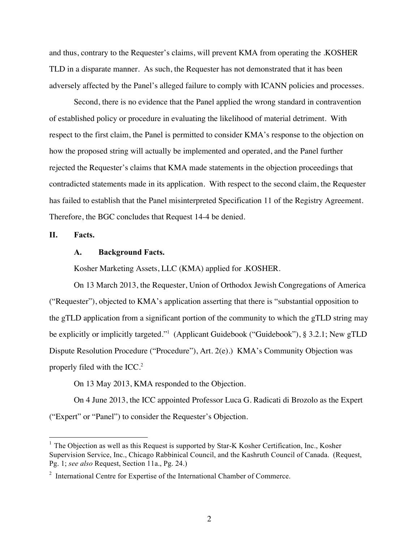and thus, contrary to the Requester's claims, will prevent KMA from operating the .KOSHER TLD in a disparate manner. As such, the Requester has not demonstrated that it has been adversely affected by the Panel's alleged failure to comply with ICANN policies and processes.

Second, there is no evidence that the Panel applied the wrong standard in contravention of established policy or procedure in evaluating the likelihood of material detriment. With respect to the first claim, the Panel is permitted to consider KMA's response to the objection on how the proposed string will actually be implemented and operated, and the Panel further rejected the Requester's claims that KMA made statements in the objection proceedings that contradicted statements made in its application. With respect to the second claim, the Requester has failed to establish that the Panel misinterpreted Specification 11 of the Registry Agreement. Therefore, the BGC concludes that Request 14-4 be denied.

**II. Facts.**

#### **A. Background Facts.**

Kosher Marketing Assets, LLC (KMA) applied for .KOSHER.

On 13 March 2013, the Requester, Union of Orthodox Jewish Congregations of America ("Requester"), objected to KMA's application asserting that there is "substantial opposition to the gTLD application from a significant portion of the community to which the gTLD string may be explicitly or implicitly targeted."<sup>1</sup> (Applicant Guidebook ("Guidebook"), § 3.2.1; New gTLD Dispute Resolution Procedure ("Procedure"), Art. 2(e).) KMA's Community Objection was properly filed with the ICC.<sup>2</sup>

On 13 May 2013, KMA responded to the Objection.

On 4 June 2013, the ICC appointed Professor Luca G. Radicati di Brozolo as the Expert ("Expert" or "Panel") to consider the Requester's Objection.

<sup>&</sup>lt;sup>1</sup> The Objection as well as this Request is supported by Star-K Kosher Certification, Inc., Kosher Supervision Service, Inc., Chicago Rabbinical Council, and the Kashruth Council of Canada. (Request, Pg. 1; *see also* Request, Section 11a., Pg. 24.)

 $2$  International Centre for Expertise of the International Chamber of Commerce.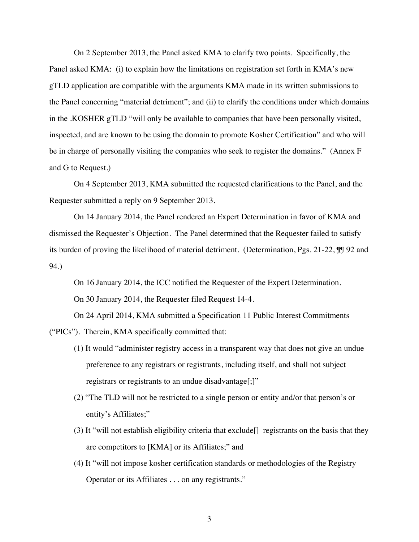On 2 September 2013, the Panel asked KMA to clarify two points. Specifically, the Panel asked KMA: (i) to explain how the limitations on registration set forth in KMA's new gTLD application are compatible with the arguments KMA made in its written submissions to the Panel concerning "material detriment"; and (ii) to clarify the conditions under which domains in the .KOSHER gTLD "will only be available to companies that have been personally visited, inspected, and are known to be using the domain to promote Kosher Certification" and who will be in charge of personally visiting the companies who seek to register the domains." (Annex F and G to Request.)

On 4 September 2013, KMA submitted the requested clarifications to the Panel, and the Requester submitted a reply on 9 September 2013.

On 14 January 2014, the Panel rendered an Expert Determination in favor of KMA and dismissed the Requester's Objection. The Panel determined that the Requester failed to satisfy its burden of proving the likelihood of material detriment. (Determination, Pgs. 21-22,  $\mathbb{J}$  92 and 94.)

On 16 January 2014, the ICC notified the Requester of the Expert Determination.

On 30 January 2014, the Requester filed Request 14-4.

On 24 April 2014, KMA submitted a Specification 11 Public Interest Commitments

("PICs"). Therein, KMA specifically committed that:

- (1) It would "administer registry access in a transparent way that does not give an undue preference to any registrars or registrants, including itself, and shall not subject registrars or registrants to an undue disadvantage[;]"
- (2) "The TLD will not be restricted to a single person or entity and/or that person's or entity's Affiliates;"
- (3) It "will not establish eligibility criteria that exclude[] registrants on the basis that they are competitors to [KMA] or its Affiliates;" and
- (4) It "will not impose kosher certification standards or methodologies of the Registry Operator or its Affiliates . . . on any registrants."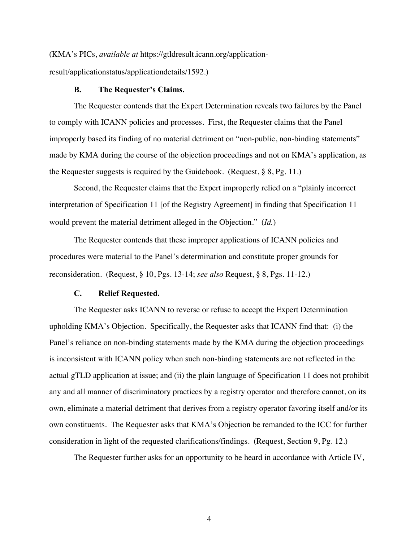(KMA's PICs, *available at* https://gtldresult.icann.org/application-

result/applicationstatus/applicationdetails/1592.)

#### **B. The Requester's Claims.**

The Requester contends that the Expert Determination reveals two failures by the Panel to comply with ICANN policies and processes. First, the Requester claims that the Panel improperly based its finding of no material detriment on "non-public, non-binding statements" made by KMA during the course of the objection proceedings and not on KMA's application, as the Requester suggests is required by the Guidebook. (Request, § 8, Pg. 11.)

Second, the Requester claims that the Expert improperly relied on a "plainly incorrect interpretation of Specification 11 [of the Registry Agreement] in finding that Specification 11 would prevent the material detriment alleged in the Objection." (*Id.*)

The Requester contends that these improper applications of ICANN policies and procedures were material to the Panel's determination and constitute proper grounds for reconsideration. (Request, § 10, Pgs. 13-14; *see also* Request, § 8, Pgs. 11-12.)

#### **C. Relief Requested.**

The Requester asks ICANN to reverse or refuse to accept the Expert Determination upholding KMA's Objection. Specifically, the Requester asks that ICANN find that: (i) the Panel's reliance on non-binding statements made by the KMA during the objection proceedings is inconsistent with ICANN policy when such non-binding statements are not reflected in the actual gTLD application at issue; and (ii) the plain language of Specification 11 does not prohibit any and all manner of discriminatory practices by a registry operator and therefore cannot, on its own, eliminate a material detriment that derives from a registry operator favoring itself and/or its own constituents. The Requester asks that KMA's Objection be remanded to the ICC for further consideration in light of the requested clarifications/findings. (Request, Section 9, Pg. 12.)

The Requester further asks for an opportunity to be heard in accordance with Article IV,

4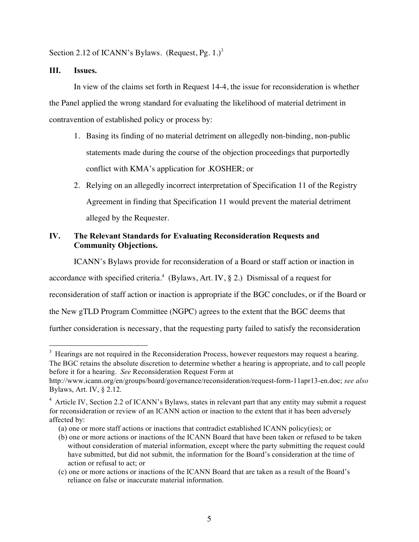Section 2.12 of ICANN's Bylaws. (Request, Pg. 1.)<sup>3</sup>

## **III. Issues.**

In view of the claims set forth in Request 14-4, the issue for reconsideration is whether the Panel applied the wrong standard for evaluating the likelihood of material detriment in contravention of established policy or process by:

- 1. Basing its finding of no material detriment on allegedly non-binding, non-public statements made during the course of the objection proceedings that purportedly conflict with KMA's application for .KOSHER; or
- 2. Relying on an allegedly incorrect interpretation of Specification 11 of the Registry Agreement in finding that Specification 11 would prevent the material detriment alleged by the Requester.

## **IV. The Relevant Standards for Evaluating Reconsideration Requests and Community Objections.**

ICANN's Bylaws provide for reconsideration of a Board or staff action or inaction in

accordance with specified criteria.<sup>4</sup> (Bylaws, Art. IV, § 2.) Dismissal of a request for

reconsideration of staff action or inaction is appropriate if the BGC concludes, or if the Board or

the New gTLD Program Committee (NGPC) agrees to the extent that the BGC deems that

further consideration is necessary, that the requesting party failed to satisfy the reconsideration

3 <sup>3</sup> Hearings are not required in the Reconsideration Process, however requestors may request a hearing. The BGC retains the absolute discretion to determine whether a hearing is appropriate, and to call people before it for a hearing. *See* Reconsideration Request Form at

http://www.icann.org/en/groups/board/governance/reconsideration/request-form-11apr13-en.doc; *see also*  Bylaws, Art. IV, § 2.12.

<sup>&</sup>lt;sup>4</sup> Article IV, Section 2.2 of ICANN's Bylaws, states in relevant part that any entity may submit a request for reconsideration or review of an ICANN action or inaction to the extent that it has been adversely affected by:

<sup>(</sup>a) one or more staff actions or inactions that contradict established ICANN policy(ies); or

<sup>(</sup>b) one or more actions or inactions of the ICANN Board that have been taken or refused to be taken without consideration of material information, except where the party submitting the request could have submitted, but did not submit, the information for the Board's consideration at the time of action or refusal to act; or

<sup>(</sup>c) one or more actions or inactions of the ICANN Board that are taken as a result of the Board's reliance on false or inaccurate material information.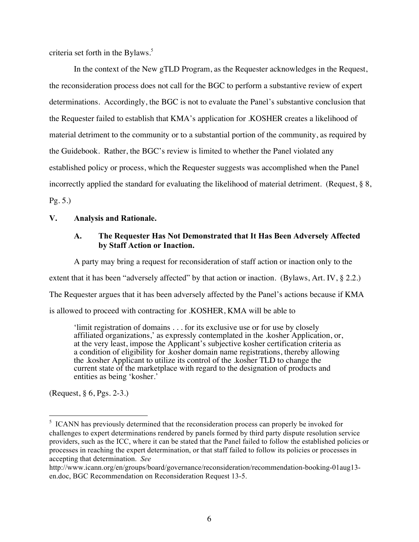criteria set forth in the Bylaws. $5$ 

In the context of the New gTLD Program, as the Requester acknowledges in the Request, the reconsideration process does not call for the BGC to perform a substantive review of expert determinations. Accordingly, the BGC is not to evaluate the Panel's substantive conclusion that the Requester failed to establish that KMA's application for .KOSHER creates a likelihood of material detriment to the community or to a substantial portion of the community, as required by the Guidebook. Rather, the BGC's review is limited to whether the Panel violated any established policy or process, which the Requester suggests was accomplished when the Panel incorrectly applied the standard for evaluating the likelihood of material detriment. (Request, § 8, Pg. 5.)

#### **V. Analysis and Rationale.**

## **A. The Requester Has Not Demonstrated that It Has Been Adversely Affected by Staff Action or Inaction.**

A party may bring a request for reconsideration of staff action or inaction only to the extent that it has been "adversely affected" by that action or inaction. (Bylaws, Art. IV, § 2.2.) The Requester argues that it has been adversely affected by the Panel's actions because if KMA is allowed to proceed with contracting for .KOSHER, KMA will be able to

'limit registration of domains . . . for its exclusive use or for use by closely affiliated organizations,' as expressly contemplated in the .kosher Application, or, at the very least, impose the Applicant's subjective kosher certification criteria as a condition of eligibility for .kosher domain name registrations, thereby allowing the .kosher Applicant to utilize its control of the .kosher TLD to change the current state of the marketplace with regard to the designation of products and entities as being 'kosher.'

(Request, § 6, Pgs. 2-3.)

5  $<sup>5</sup>$  ICANN has previously determined that the reconsideration process can properly be invoked for</sup> challenges to expert determinations rendered by panels formed by third party dispute resolution service providers, such as the ICC, where it can be stated that the Panel failed to follow the established policies or processes in reaching the expert determination, or that staff failed to follow its policies or processes in accepting that determination. *See* 

http://www.icann.org/en/groups/board/governance/reconsideration/recommendation-booking-01aug13 en.doc, BGC Recommendation on Reconsideration Request 13-5.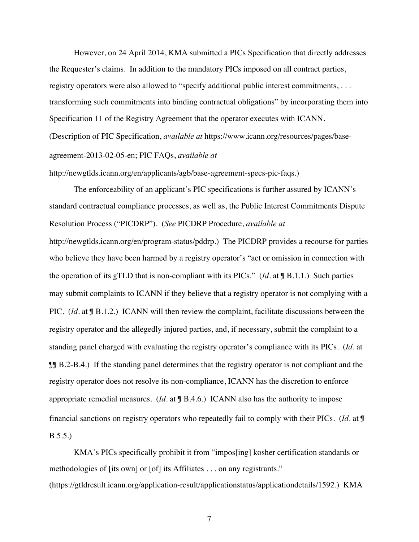However, on 24 April 2014, KMA submitted a PICs Specification that directly addresses the Requester's claims. In addition to the mandatory PICs imposed on all contract parties, registry operators were also allowed to "specify additional public interest commitments, ... transforming such commitments into binding contractual obligations" by incorporating them into Specification 11 of the Registry Agreement that the operator executes with ICANN. (Description of PIC Specification, *available at* https://www.icann.org/resources/pages/baseagreement-2013-02-05-en; PIC FAQs, *available at* 

http://newgtlds.icann.org/en/applicants/agb/base-agreement-specs-pic-faqs.)

The enforceability of an applicant's PIC specifications is further assured by ICANN's standard contractual compliance processes, as well as, the Public Interest Commitments Dispute Resolution Process ("PICDRP"). (*See* PICDRP Procedure, *available at*

http://newgtlds.icann.org/en/program-status/pddrp.)The PICDRP provides a recourse for parties who believe they have been harmed by a registry operator's "act or omission in connection with the operation of its gTLD that is non-compliant with its PICs." (*Id*. at ¶ B.1.1.) Such parties may submit complaints to ICANN if they believe that a registry operator is not complying with a PIC. (*Id.* at **J** B.1.2.) ICANN will then review the complaint, facilitate discussions between the registry operator and the allegedly injured parties, and, if necessary, submit the complaint to a standing panel charged with evaluating the registry operator's compliance with its PICs. (*Id*. at ¶¶ B.2-B.4.) If the standing panel determines that the registry operator is not compliant and the registry operator does not resolve its non-compliance, ICANN has the discretion to enforce appropriate remedial measures. (*Id*. at ¶ B.4.6.) ICANN also has the authority to impose financial sanctions on registry operators who repeatedly fail to comply with their PICs. (*Id*. at ¶ B.5.5.)

KMA's PICs specifically prohibit it from "impos[ing] kosher certification standards or methodologies of [its own] or [of] its Affiliates . . . on any registrants." (https://gtldresult.icann.org/application-result/applicationstatus/applicationdetails/1592.) KMA

7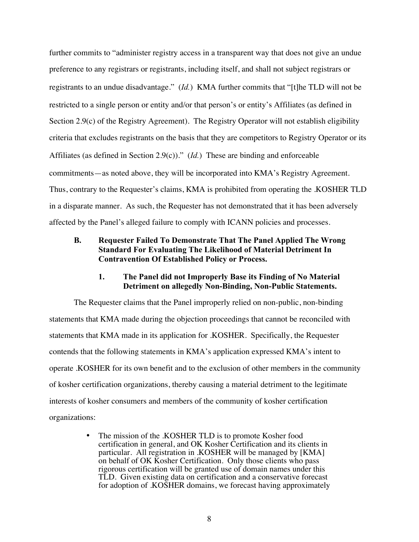further commits to "administer registry access in a transparent way that does not give an undue preference to any registrars or registrants, including itself, and shall not subject registrars or registrants to an undue disadvantage." (*Id.*) KMA further commits that "[t]he TLD will not be restricted to a single person or entity and/or that person's or entity's Affiliates (as defined in Section 2.9(c) of the Registry Agreement). The Registry Operator will not establish eligibility criteria that excludes registrants on the basis that they are competitors to Registry Operator or its Affiliates (as defined in Section 2.9(c))." (*Id.*) These are binding and enforceable commitments—as noted above, they will be incorporated into KMA's Registry Agreement. Thus, contrary to the Requester's claims, KMA is prohibited from operating the .KOSHER TLD in a disparate manner. As such, the Requester has not demonstrated that it has been adversely affected by the Panel's alleged failure to comply with ICANN policies and processes.

## **B. Requester Failed To Demonstrate That The Panel Applied The Wrong Standard For Evaluating The Likelihood of Material Detriment In Contravention Of Established Policy or Process.**

#### **1. The Panel did not Improperly Base its Finding of No Material Detriment on allegedly Non-Binding, Non-Public Statements.**

The Requester claims that the Panel improperly relied on non-public, non-binding statements that KMA made during the objection proceedings that cannot be reconciled with statements that KMA made in its application for .KOSHER. Specifically, the Requester contends that the following statements in KMA's application expressed KMA's intent to operate .KOSHER for its own benefit and to the exclusion of other members in the community of kosher certification organizations, thereby causing a material detriment to the legitimate interests of kosher consumers and members of the community of kosher certification organizations:

> • The mission of the .KOSHER TLD is to promote Kosher food certification in general, and OK Kosher Certification and its clients in particular. All registration in .KOSHER will be managed by [KMA] on behalf of OK Kosher Certification. Only those clients who pass rigorous certification will be granted use of domain names under this TLD. Given existing data on certification and a conservative forecast for adoption of .KOSHER domains, we forecast having approximately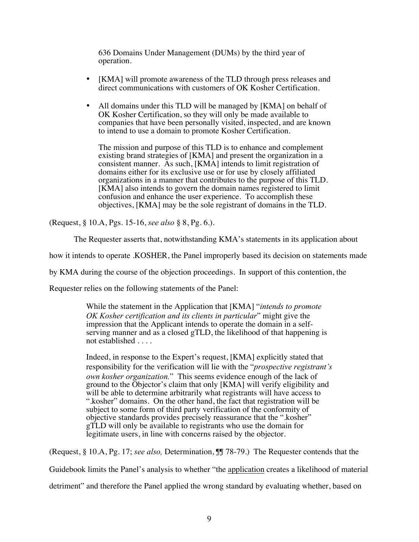636 Domains Under Management (DUMs) by the third year of operation.

- [KMA] will promote awareness of the TLD through press releases and direct communications with customers of OK Kosher Certification.
- All domains under this TLD will be managed by [KMA] on behalf of OK Kosher Certification, so they will only be made available to companies that have been personally visited, inspected, and are known to intend to use a domain to promote Kosher Certification.

The mission and purpose of this TLD is to enhance and complement existing brand strategies of [KMA] and present the organization in a consistent manner. As such, [KMA] intends to limit registration of domains either for its exclusive use or for use by closely affiliated organizations in a manner that contributes to the purpose of this TLD. [KMA] also intends to govern the domain names registered to limit confusion and enhance the user experience. To accomplish these objectives, [KMA] may be the sole registrant of domains in the TLD.

(Request, § 10.A, Pgs. 15-16, *see also* § 8, Pg. 6.).

The Requester asserts that, notwithstanding KMA's statements in its application about

how it intends to operate .KOSHER, the Panel improperly based its decision on statements made

by KMA during the course of the objection proceedings. In support of this contention, the

Requester relies on the following statements of the Panel:

While the statement in the Application that [KMA] "*intends to promote OK Kosher certification and its clients in particular*" might give the serving manner and as a closed gTLD, the likelihood of that happening is not established . . . .

Indeed, in response to the Expert's request, [KMA] explicitly stated that responsibility for the verification will lie with the "*prospective registrant's own kosher organization.*" This seems evidence enough of the lack of ground to the Objector's claim that only [KMA] will verify eligibility and will be able to determine arbitrarily what registrants will have access to ".kosher" domains. On the other hand, the fact that registration will be subject to some form of third party verification of the conformity of objective standards provides precisely reassurance that the ".kosher" gTLD will only be available to registrants who use the domain for legitimate users, in line with concerns raised by the objector.

(Request, § 10.A, Pg. 17; *see also,* Determination, ¶¶ 78-79.) The Requester contends that the

Guidebook limits the Panel's analysis to whether "the application creates a likelihood of material detriment" and therefore the Panel applied the wrong standard by evaluating whether, based on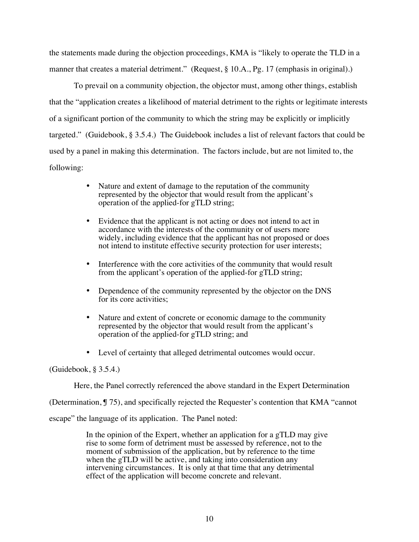the statements made during the objection proceedings, KMA is "likely to operate the TLD in a manner that creates a material detriment." (Request, § 10.A., Pg. 17 (emphasis in original).)

To prevail on a community objection, the objector must, among other things, establish that the "application creates a likelihood of material detriment to the rights or legitimate interests of a significant portion of the community to which the string may be explicitly or implicitly targeted." (Guidebook, § 3.5.4.) The Guidebook includes a list of relevant factors that could be used by a panel in making this determination. The factors include, but are not limited to, the following:

- Nature and extent of damage to the reputation of the community represented by the objector that would result from the applicant's operation of the applied-for gTLD string;
- Evidence that the applicant is not acting or does not intend to act in accordance with the interests of the community or of users more widely, including evidence that the applicant has not proposed or does not intend to institute effective security protection for user interests;
- Interference with the core activities of the community that would result from the applicant's operation of the applied-for gTLD string;
- Dependence of the community represented by the objector on the DNS for its core activities;
- Nature and extent of concrete or economic damage to the community represented by the objector that would result from the applicant's operation of the applied-for gTLD string; and
- Level of certainty that alleged detrimental outcomes would occur.

#### (Guidebook, § 3.5.4.)

Here, the Panel correctly referenced the above standard in the Expert Determination

(Determination, ¶ 75), and specifically rejected the Requester's contention that KMA "cannot

escape" the language of its application. The Panel noted:

In the opinion of the Expert, whether an application for a gTLD may give rise to some form of detriment must be assessed by reference, not to the moment of submission of the application, but by reference to the time when the gTLD will be active, and taking into consideration any intervening circumstances. It is only at that time that any detrimental effect of the application will become concrete and relevant.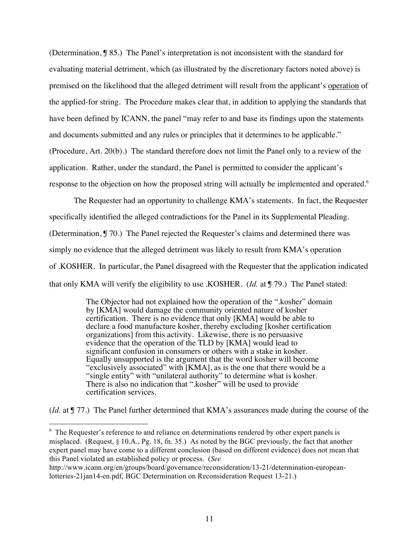(Determination, ¶ 85.) The Panel's interpretation is not inconsistent with the standard for evaluating material detriment, which (as illustrated by the discretionary factors noted above) is premised on the likelihood that the alleged detriment will result from the applicant's operation of the applied-for string. The Procedure makes clear that, in addition to applying the standards that have been defined by ICANN, the panel "may refer to and base its findings upon the statements and documents submitted and any rules or principles that it determines to be applicable." (Procedure, Art. 20(b).) The standard therefore does not limit the Panel only to a review of the application. Rather, under the standard, the Panel is permitted to consider the applicant's response to the objection on how the proposed string will actually be implemented and operated.<sup>6</sup>

The Requester had an opportunity to challenge KMA's statements. In fact, the Requester specifically identified the alleged contradictions for the Panel in its Supplemental Pleading. (Determination, ¶ 70.) The Panel rejected the Requester's claims and determined there was simply no evidence that the alleged detriment was likely to result from KMA's operation of .KOSHER. In particular, the Panel disagreed with the Requester that the application indicated that only KMA will verify the eligibility to use .KOSHER. (*Id.* at ¶ 79.) The Panel stated:

> The Objector had not explained how the operation of the ".kosher" domain by [KMA] would damage the community oriented nature of kosher certification. There is no evidence that only [KMA] would be able to declare a food manufacture kosher, thereby excluding [kosher certification organizations] from this activity. Likewise, there is no persuasive evidence that the operation of the TLD by [KMA] would lead to significant confusion in consumers or others with a stake in kosher. Equally unsupported is the argument that the word kosher will become "exclusively associated" with [KMA], as is the one that there would be a "single entity" with "unilateral authority" to determine what is kosher. There is also no indication that ".kosher" will be used to provide certification services.

(*Id.* at  $\int$  77.) The Panel further determined that KMA's assurances made during the course of the

6 <sup>6</sup> The Requester's reference to and reliance on determinations rendered by other expert panels is misplaced. (Request,  $\S 10.A.,$  Pg. 18, fn. 35.) As noted by the BGC previously, the fact that another expert panel may have come to a different conclusion (based on different evidence) does not mean that this Panel violated an established policy or process. (*See* 

http://www.icann.org/en/groups/board/governance/reconsideration/13-21/determination-europeanlotteries-21jan14-en.pdf, BGC Determination on Reconsideration Request 13-21.)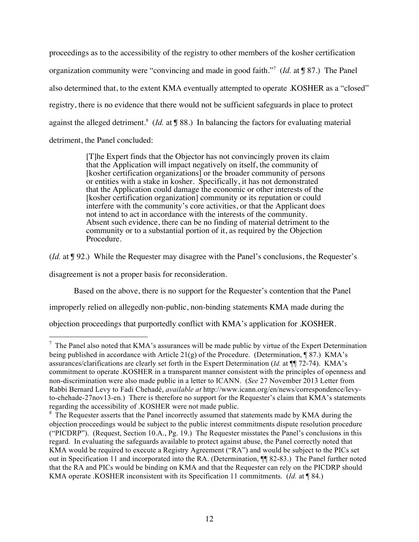proceedings as to the accessibility of the registry to other members of the kosher certification organization community were "convincing and made in good faith."<sup>7</sup> (*Id.* at ¶ 87.) The Panel also determined that, to the extent KMA eventually attempted to operate .KOSHER as a "closed" registry, there is no evidence that there would not be sufficient safeguards in place to protect against the alleged detriment.<sup>8</sup> (*Id.* at **J** 88.) In balancing the factors for evaluating material detriment, the Panel concluded:

> [T]he Expert finds that the Objector has not convincingly proven its claim that the Application will impact negatively on itself, the community of [kosher certification organizations] or the broader community of persons or entities with a stake in kosher. Specifically, it has not demonstrated that the Application could damage the economic or other interests of the [kosher certification organization] community or its reputation or could interfere with the community's core activities, or that the Applicant does not intend to act in accordance with the interests of the community. Absent such evidence, there can be no finding of material detriment to the community or to a substantial portion of it, as required by the Objection Procedure.

(*Id.* at ¶ 92.) While the Requester may disagree with the Panel's conclusions, the Requester's

disagreement is not a proper basis for reconsideration.

Based on the above, there is no support for the Requester's contention that the Panel

improperly relied on allegedly non-public, non-binding statements KMA made during the

objection proceedings that purportedly conflict with KMA's application for .KOSHER.

7  $\frac{7}{1}$  The Panel also noted that KMA's assurances will be made public by virtue of the Expert Determination being published in accordance with Article 21(g) of the Procedure. (Determination,  $\sqrt{87}$ ) KMA's assurances/clarifications are clearly set forth in the Expert Determination (*Id.* at ¶¶ 72-74). KMA's commitment to operate .KOSHER in a transparent manner consistent with the principles of openness and non-discrimination were also made public in a letter to ICANN. (*See* 27 November 2013 Letter from Rabbi Bernard Levy to Fadi Chehadé, *available at* http://www.icann.org/en/news/correspondence/levyto-chehade-27nov13-en.) There is therefore no support for the Requester's claim that KMA's statements regarding the accessibility of .KOSHER were not made public.

<sup>&</sup>lt;sup>8</sup> The Requester asserts that the Panel incorrectly assumed that statements made by KMA during the objection proceedings would be subject to the public interest commitments dispute resolution procedure ("PICDRP"). (Request, Section 10.A., Pg. 19.) The Requester misstates the Panel's conclusions in this regard. In evaluating the safeguards available to protect against abuse, the Panel correctly noted that KMA would be required to execute a Registry Agreement ("RA") and would be subject to the PICs set out in Specification 11 and incorporated into the RA. (Determination, ¶¶ 82-83.) The Panel further noted that the RA and PICs would be binding on KMA and that the Requester can rely on the PICDRP should KMA operate .KOSHER inconsistent with its Specification 11 commitments. (*Id.* at ¶ 84.)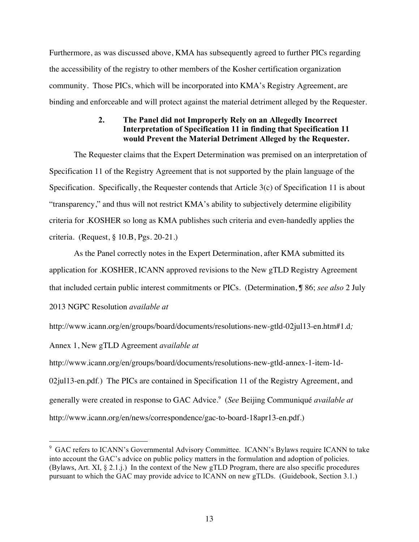Furthermore, as was discussed above, KMA has subsequently agreed to further PICs regarding the accessibility of the registry to other members of the Kosher certification organization community. Those PICs, which will be incorporated into KMA's Registry Agreement, are binding and enforceable and will protect against the material detriment alleged by the Requester.

## **2. The Panel did not Improperly Rely on an Allegedly Incorrect Interpretation of Specification 11 in finding that Specification 11 would Prevent the Material Detriment Alleged by the Requester.**

The Requester claims that the Expert Determination was premised on an interpretation of Specification 11 of the Registry Agreement that is not supported by the plain language of the Specification. Specifically, the Requester contends that Article 3(c) of Specification 11 is about "transparency," and thus will not restrict KMA's ability to subjectively determine eligibility criteria for .KOSHER so long as KMA publishes such criteria and even-handedly applies the criteria. (Request, § 10.B, Pgs. 20-21.)

As the Panel correctly notes in the Expert Determination, after KMA submitted its application for .KOSHER, ICANN approved revisions to the New gTLD Registry Agreement that included certain public interest commitments or PICs. (Determination, ¶ 86; *see also* 2 July

2013 NGPC Resolution *available at* 

http://www.icann.org/en/groups/board/documents/resolutions-new-gtld-02jul13-en.htm#1.d*;* 

Annex 1, New gTLD Agreement *available at* 

http://www.icann.org/en/groups/board/documents/resolutions-new-gtld-annex-1-item-1d-02jul13-en.pdf*.*) The PICs are contained in Specification 11 of the Registry Agreement, and generally were created in response to GAC Advice.<sup>9</sup> (*See* Beijing Communiqué *available at*  http://www.icann.org/en/news/correspondence/gac-to-board-18apr13-en.pdf.)

<sup>.&</sup>lt;br>9 <sup>9</sup> GAC refers to ICANN's Governmental Advisory Committee. ICANN's Bylaws require ICANN to take into account the GAC's advice on public policy matters in the formulation and adoption of policies. (Bylaws, Art. XI, § 2.1.j.) In the context of the New gTLD Program, there are also specific procedures pursuant to which the GAC may provide advice to ICANN on new gTLDs. (Guidebook, Section 3.1.)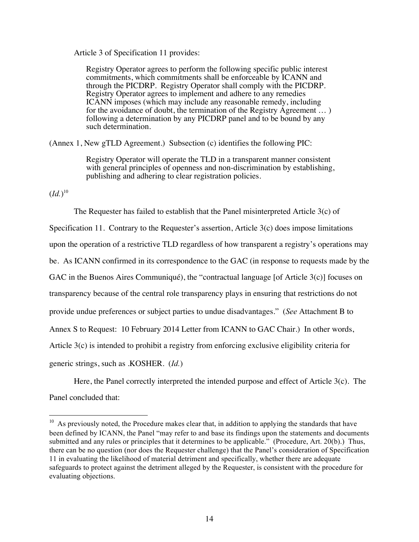Article 3 of Specification 11 provides:

Registry Operator agrees to perform the following specific public interest commitments, which commitments shall be enforceable by ICANN and through the PICDRP. Registry Operator shall comply with the PICDRP. Registry Operator agrees to implement and adhere to any remedies ICANN imposes (which may include any reasonable remedy, including for the avoidance of doubt, the termination of the Registry Agreement … ) following a determination by any PICDRP panel and to be bound by any such determination.

(Annex 1, New gTLD Agreement.) Subsection (c) identifies the following PIC:

Registry Operator will operate the TLD in a transparent manner consistent with general principles of openness and non-discrimination by establishing, publishing and adhering to clear registration policies.

 $(Id.)^{10}$ 

The Requester has failed to establish that the Panel misinterpreted Article 3(c) of Specification 11. Contrary to the Requester's assertion, Article 3(c) does impose limitations upon the operation of a restrictive TLD regardless of how transparent a registry's operations may be. As ICANN confirmed in its correspondence to the GAC (in response to requests made by the GAC in the Buenos Aires Communiqué), the "contractual language [of Article 3(c)] focuses on transparency because of the central role transparency plays in ensuring that restrictions do not provide undue preferences or subject parties to undue disadvantages." (*See* Attachment B to Annex S to Request: 10 February 2014 Letter from ICANN to GAC Chair.) In other words, Article 3(c) is intended to prohibit a registry from enforcing exclusive eligibility criteria for generic strings, such as .KOSHER. (*Id.*)

Here, the Panel correctly interpreted the intended purpose and effect of Article 3(c). The Panel concluded that:

 $10$  As previously noted, the Procedure makes clear that, in addition to applying the standards that have been defined by ICANN, the Panel "may refer to and base its findings upon the statements and documents submitted and any rules or principles that it determines to be applicable." (Procedure, Art. 20(b).) Thus, there can be no question (nor does the Requester challenge) that the Panel's consideration of Specification 11 in evaluating the likelihood of material detriment and specifically, whether there are adequate safeguards to protect against the detriment alleged by the Requester, is consistent with the procedure for evaluating objections.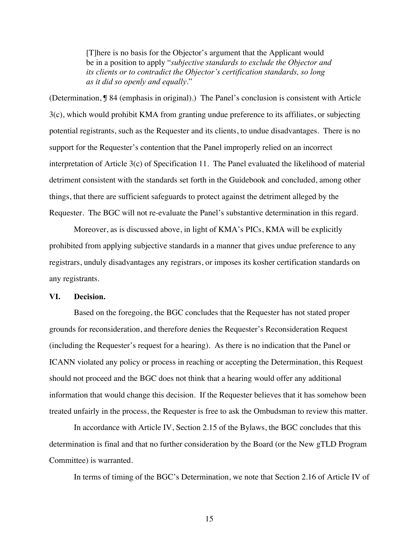[T]here is no basis for the Objector's argument that the Applicant would be in a position to apply "*subjective standards to exclude the Objector and its clients or to contradict the Objector's certification standards, so long as it did so openly and equally*."

(Determination, ¶ 84 (emphasis in original).) The Panel's conclusion is consistent with Article 3(c), which would prohibit KMA from granting undue preference to its affiliates, or subjecting potential registrants, such as the Requester and its clients, to undue disadvantages. There is no support for the Requester's contention that the Panel improperly relied on an incorrect interpretation of Article 3(c) of Specification 11. The Panel evaluated the likelihood of material detriment consistent with the standards set forth in the Guidebook and concluded, among other things, that there are sufficient safeguards to protect against the detriment alleged by the Requester. The BGC will not re-evaluate the Panel's substantive determination in this regard.

Moreover, as is discussed above, in light of KMA's PICs, KMA will be explicitly prohibited from applying subjective standards in a manner that gives undue preference to any registrars, unduly disadvantages any registrars, or imposes its kosher certification standards on any registrants.

#### **VI. Decision.**

Based on the foregoing, the BGC concludes that the Requester has not stated proper grounds for reconsideration, and therefore denies the Requester's Reconsideration Request (including the Requester's request for a hearing). As there is no indication that the Panel or ICANN violated any policy or process in reaching or accepting the Determination, this Request should not proceed and the BGC does not think that a hearing would offer any additional information that would change this decision. If the Requester believes that it has somehow been treated unfairly in the process, the Requester is free to ask the Ombudsman to review this matter.

In accordance with Article IV, Section 2.15 of the Bylaws, the BGC concludes that this determination is final and that no further consideration by the Board (or the New gTLD Program Committee) is warranted.

In terms of timing of the BGC's Determination, we note that Section 2.16 of Article IV of

15